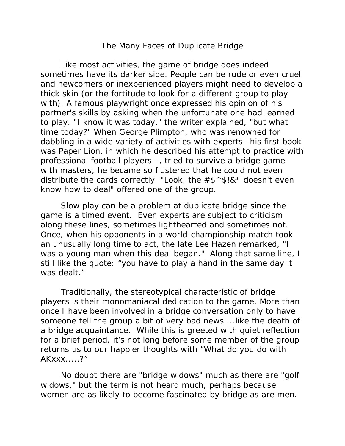## The Many Faces of Duplicate Bridge

 Like most activities, the game of bridge does indeed sometimes have its darker side. People can be rude or even cruel and newcomers or inexperienced players might need to develop a thick skin (or the fortitude to look for a different group to play with). A famous playwright once expressed his opinion of his partner's skills by asking when the unfortunate one had learned to play. "I know it was today," the writer explained, "but what time today?" When George Plimpton, who was renowned for dabbling in a wide variety of activities with experts--his first book was *Paper Lion*, in which he described his attempt to practice with professional football players--, tried to survive a bridge game with masters, he became so flustered that he could not even distribute the cards correctly. "Look, the  $#$ \$^\$!&\* doesn't even know how to deal" offered one of the group.

 Slow play can be a problem at duplicate bridge since the game is a timed event. Even experts are subject to criticism along these lines, sometimes lighthearted and sometimes not. Once, when his opponents in a world-championship match took an unusually long time to act, the late Lee Hazen remarked, "I was a young man when this deal began." Along that same line, I still like the quote: "you have to play a hand in the same day it was dealt."

 Traditionally, the stereotypical characteristic of bridge players is their monomaniacal dedication to the game. More than once I have been involved in a bridge conversation only to have someone tell the group a bit of very bad news....like the death of a bridge acquaintance. While this is greeted with quiet reflection for a brief period, it's not long before some member of the group returns us to our happier thoughts with "What do you do with AKxxx.....?"

 No doubt there are "bridge widows" much as there are "golf widows," but the term is not heard much, perhaps because women are as likely to become fascinated by bridge as are men.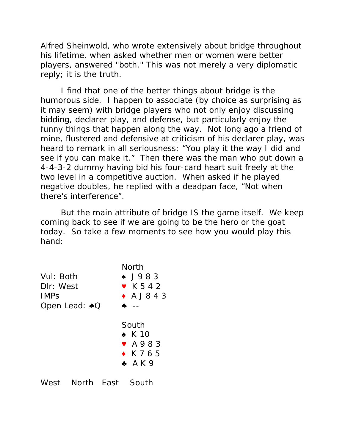Alfred Sheinwold, who wrote extensively about bridge throughout his lifetime, when asked whether men or women were better players, answered "both." This was not merely a very diplomatic reply; it is the truth.

 I find that one of the better things about bridge is the humorous side. I happen to associate (by choice as surprising as it may seem) with bridge players who not only enjoy discussing bidding, declarer play, and defense, but particularly enjoy the funny things that happen along the way. Not long ago a friend of mine, flustered and defensive at criticism of his declarer play, was heard to remark in all seriousness: "You play it the way I did and see if you can make it." Then there was the man who put down a 4-4-3-2 dummy having bid his four-card heart suit freely at the two level in a competitive auction. When asked if he played negative doubles, he replied with a deadpan face, "Not when there's interference".

 But the main attribute of bridge IS the game itself. We keep coming back to see if we are going to be the hero or the goat today. So take a few moments to see how you would play this hand: